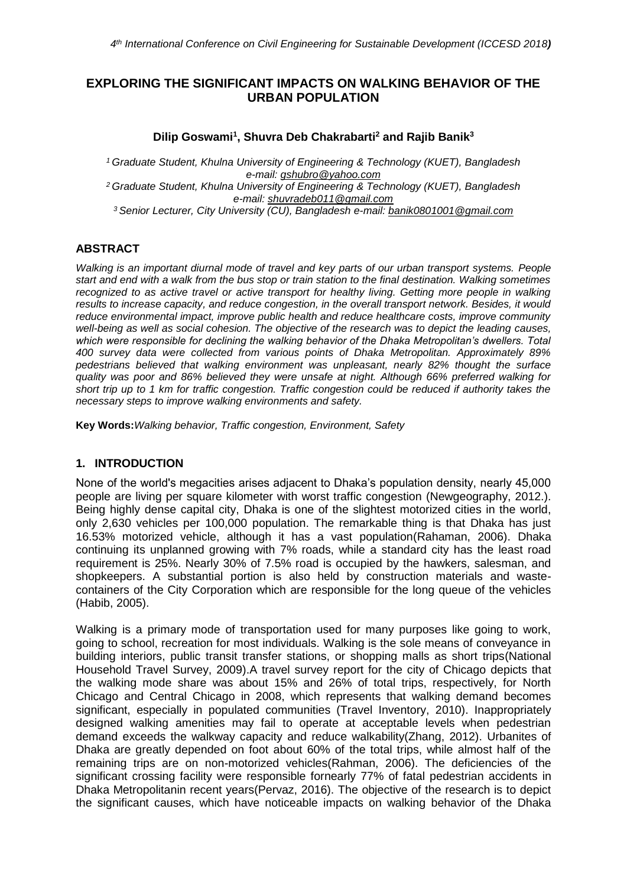# **EXPLORING THE SIGNIFICANT IMPACTS ON WALKING BEHAVIOR OF THE URBAN POPULATION**

### **Dilip Goswami<sup>1</sup> , Shuvra Deb Chakrabarti<sup>2</sup> and Rajib Banik<sup>3</sup>**

*<sup>1</sup> Graduate Student, Khulna University of Engineering & Technology (KUET), Bangladesh e-mail: [gshubro@yahoo.com](mailto:gshubro@yahoo.com) <sup>2</sup> Graduate Student, Khulna University of Engineering & Technology (KUET), Bangladesh e-mail: [shuvradeb011@gmail.com](mailto:shuvradeb011@gmail.com) <sup>3</sup> Senior Lecturer, City University (CU), Bangladesh e-mail: banik0801001@gmail.com*

## **ABSTRACT**

*Walking is an important diurnal mode of travel and key parts of our urban transport systems. People start and end with a walk from the bus stop or train station to the final destination. Walking sometimes recognized to as active travel or active transport for healthy living. Getting more people in walking results to increase capacity, and reduce congestion, in the overall transport network. Besides, it would reduce environmental impact, improve public health and reduce healthcare costs, improve community well-being as well as social cohesion. The objective of the research was to depict the leading causes, which were responsible for declining the walking behavior of the Dhaka Metropolitan's dwellers. Total 400 survey data were collected from various points of Dhaka Metropolitan. Approximately 89% pedestrians believed that walking environment was unpleasant, nearly 82% thought the surface quality was poor and 86% believed they were unsafe at night. Although 66% preferred walking for short trip up to 1 km for traffic congestion. Traffic congestion could be reduced if authority takes the necessary steps to improve walking environments and safety.*

**Key Words:***Walking behavior, Traffic congestion, Environment, Safety*

### **1. INTRODUCTION**

None of the world's megacities arises adjacent to Dhaka's population density, nearly 45,000 people are living per square kilometer with worst traffic congestion (Newgeography, 2012.). Being highly dense capital city, Dhaka is one of the slightest motorized cities in the world, only 2,630 vehicles per 100,000 population. The remarkable thing is that Dhaka has just 16.53% motorized vehicle, although it has a vast population(Rahaman, 2006). Dhaka continuing its unplanned growing with 7% roads, while a standard city has the least road requirement is 25%. Nearly 30% of 7.5% road is occupied by the hawkers, salesman, and shopkeepers. A substantial portion is also held by construction materials and wastecontainers of the City Corporation which are responsible for the long queue of the vehicles (Habib, 2005).

Walking is a primary mode of transportation used for many purposes like going to work, going to school, recreation for most individuals. Walking is the sole means of conveyance in building interiors, public transit transfer stations, or shopping malls as short trips(National Household Travel Survey, 2009).A travel survey report for the city of Chicago depicts that the walking mode share was about 15% and 26% of total trips, respectively, for North Chicago and Central Chicago in 2008, which represents that walking demand becomes significant, especially in populated communities (Travel Inventory, 2010). Inappropriately designed walking amenities may fail to operate at acceptable levels when pedestrian demand exceeds the walkway capacity and reduce walkability(Zhang, 2012). Urbanites of Dhaka are greatly depended on foot about 60% of the total trips, while almost half of the remaining trips are on non-motorized vehicles(Rahman, 2006). The deficiencies of the significant crossing facility were responsible fornearly 77% of fatal pedestrian accidents in Dhaka Metropolitanin recent years(Pervaz, 2016). The objective of the research is to depict the significant causes, which have noticeable impacts on walking behavior of the Dhaka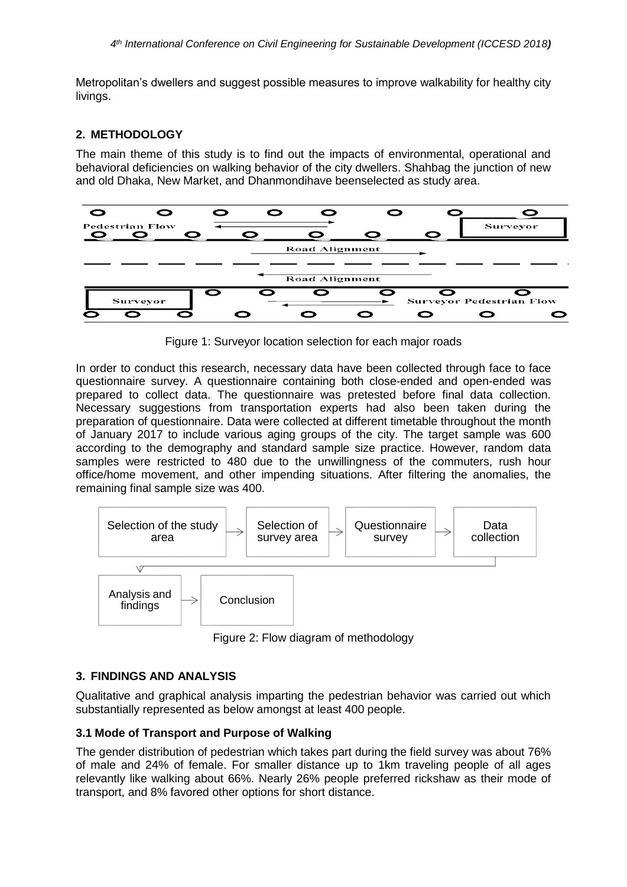Metropolitan's dwellers and suggest possible measures to improve walkability for healthy city livings.

### **2. METHODOLOGY**

The main theme of this study is to find out the impacts of environmental, operational and behavioral deficiencies on walking behavior of the city dwellers. Shahbag the junction of new and old Dhaka, New Market, and Dhanmondihave beenselected as study area.



Figure 1: Surveyor location selection for each major roads

In order to conduct this research, necessary data have been collected through face to face questionnaire survey. A questionnaire containing both close-ended and open-ended was prepared to collect data. The questionnaire was pretested before final data collection. Necessary suggestions from transportation experts had also been taken during the preparation of questionnaire. Data were collected at different timetable throughout the month of January 2017 to include various aging groups of the city. The target sample was 600 according to the demography and standard sample size practice. However, random data samples were restricted to 480 due to the unwillingness of the commuters, rush hour office/home movement, and other impending situations. After filtering the anomalies, the remaining final sample size was 400.



Figure 2: Flow diagram of methodology

### **3. FINDINGS AND ANALYSIS**

Qualitative and graphical analysis imparting the pedestrian behavior was carried out which substantially represented as below amongst at least 400 people.

### **3.1 Mode of Transport and Purpose of Walking**

The gender distribution of pedestrian which takes part during the field survey was about 76% of male and 24% of female. For smaller distance up to 1km traveling people of all ages relevantly like walking about 66%. Nearly 26% people preferred rickshaw as their mode of transport, and 8% favored other options for short distance.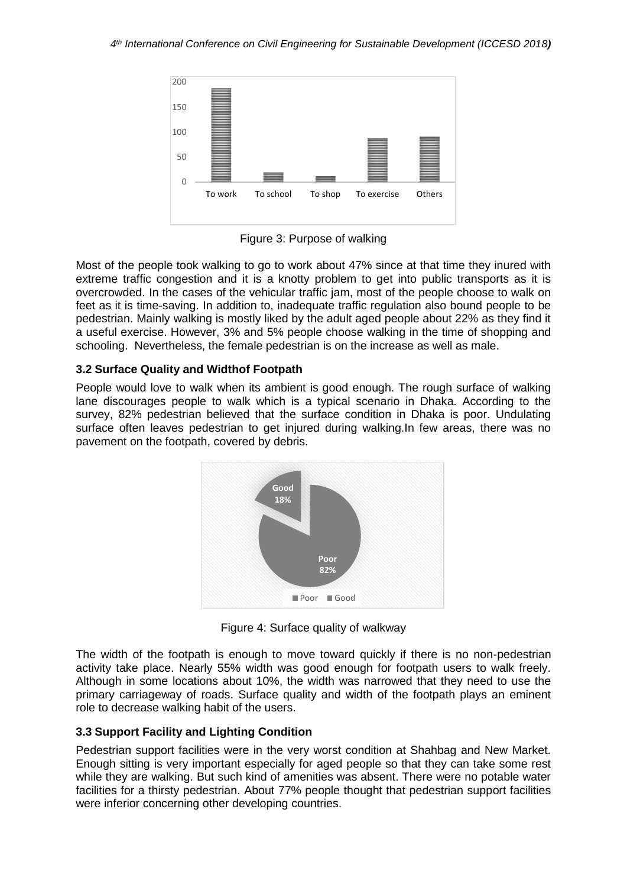

Figure 3: Purpose of walking

Most of the people took walking to go to work about 47% since at that time they inured with extreme traffic congestion and it is a knotty problem to get into public transports as it is overcrowded. In the cases of the vehicular traffic jam, most of the people choose to walk on feet as it is time-saving. In addition to, inadequate traffic regulation also bound people to be pedestrian. Mainly walking is mostly liked by the adult aged people about 22% as they find it a useful exercise. However, 3% and 5% people choose walking in the time of shopping and schooling. Nevertheless, the female pedestrian is on the increase as well as male.

## **3.2 Surface Quality and Widthof Footpath**

People would love to walk when its ambient is good enough. The rough surface of walking lane discourages people to walk which is a typical scenario in Dhaka. According to the survey, 82% pedestrian believed that the surface condition in Dhaka is poor. Undulating surface often leaves pedestrian to get injured during walking.In few areas, there was no pavement on the footpath, covered by debris.



Figure 4: Surface quality of walkway

The width of the footpath is enough to move toward quickly if there is no non-pedestrian activity take place. Nearly 55% width was good enough for footpath users to walk freely. Although in some locations about 10%, the width was narrowed that they need to use the primary carriageway of roads. Surface quality and width of the footpath plays an eminent role to decrease walking habit of the users.

### **3.3 Support Facility and Lighting Condition**

Pedestrian support facilities were in the very worst condition at Shahbag and New Market. Enough sitting is very important especially for aged people so that they can take some rest while they are walking. But such kind of amenities was absent. There were no potable water facilities for a thirsty pedestrian. About 77% people thought that pedestrian support facilities were inferior concerning other developing countries.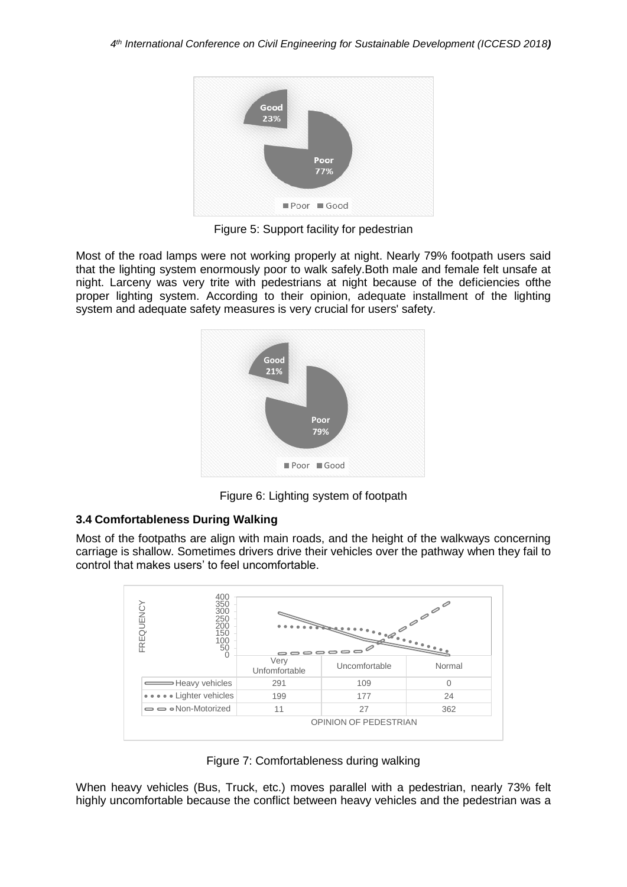

Figure 5: Support facility for pedestrian

Most of the road lamps were not working properly at night. Nearly 79% footpath users said that the lighting system enormously poor to walk safely.Both male and female felt unsafe at night. Larceny was very trite with pedestrians at night because of the deficiencies ofthe proper lighting system. According to their opinion, adequate installment of the lighting system and adequate safety measures is very crucial for users' safety.



Figure 6: Lighting system of footpath

# **3.4 Comfortableness During Walking**

Most of the footpaths are align with main roads, and the height of the walkways concerning carriage is shallow. Sometimes drivers drive their vehicles over the pathway when they fail to control that makes users' to feel uncomfortable.



Figure 7: Comfortableness during walking

When heavy vehicles (Bus, Truck, etc.) moves parallel with a pedestrian, nearly 73% felt highly uncomfortable because the conflict between heavy vehicles and the pedestrian was a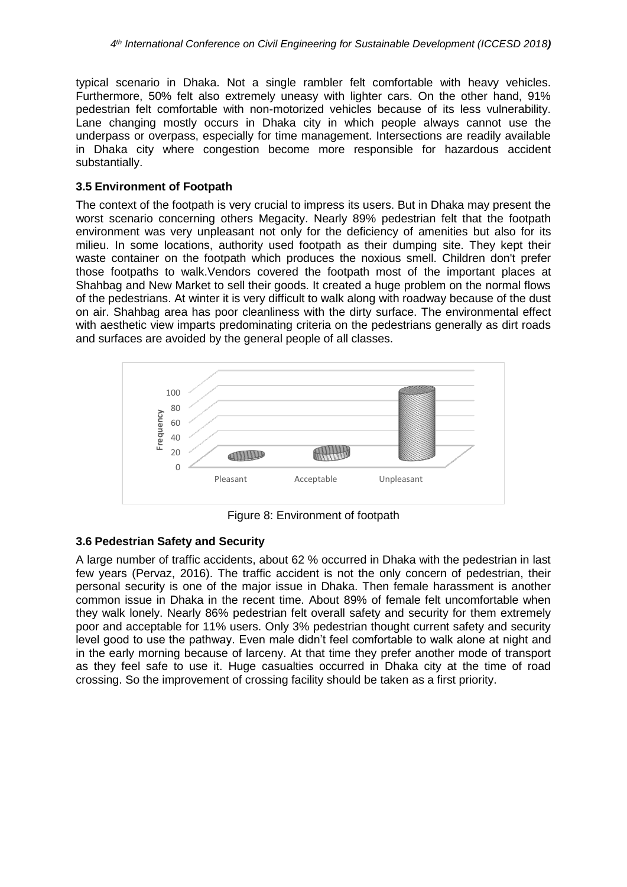typical scenario in Dhaka. Not a single rambler felt comfortable with heavy vehicles. Furthermore, 50% felt also extremely uneasy with lighter cars. On the other hand, 91% pedestrian felt comfortable with non-motorized vehicles because of its less vulnerability. Lane changing mostly occurs in Dhaka city in which people always cannot use the underpass or overpass, especially for time management. Intersections are readily available in Dhaka city where congestion become more responsible for hazardous accident substantially.

## **3.5 Environment of Footpath**

The context of the footpath is very crucial to impress its users. But in Dhaka may present the worst scenario concerning others Megacity. Nearly 89% pedestrian felt that the footpath environment was very unpleasant not only for the deficiency of amenities but also for its milieu. In some locations, authority used footpath as their dumping site. They kept their waste container on the footpath which produces the noxious smell. Children don't prefer those footpaths to walk.Vendors covered the footpath most of the important places at Shahbag and New Market to sell their goods. It created a huge problem on the normal flows of the pedestrians. At winter it is very difficult to walk along with roadway because of the dust on air. Shahbag area has poor cleanliness with the dirty surface. The environmental effect with aesthetic view imparts predominating criteria on the pedestrians generally as dirt roads and surfaces are avoided by the general people of all classes.



Figure 8: Environment of footpath

# **3.6 Pedestrian Safety and Security**

A large number of traffic accidents, about 62 % occurred in Dhaka with the pedestrian in last few years (Pervaz, 2016). The traffic accident is not the only concern of pedestrian, their personal security is one of the major issue in Dhaka. Then female harassment is another common issue in Dhaka in the recent time. About 89% of female felt uncomfortable when they walk lonely. Nearly 86% pedestrian felt overall safety and security for them extremely poor and acceptable for 11% users. Only 3% pedestrian thought current safety and security level good to use the pathway. Even male didn't feel comfortable to walk alone at night and in the early morning because of larceny. At that time they prefer another mode of transport as they feel safe to use it. Huge casualties occurred in Dhaka city at the time of road crossing. So the improvement of crossing facility should be taken as a first priority.